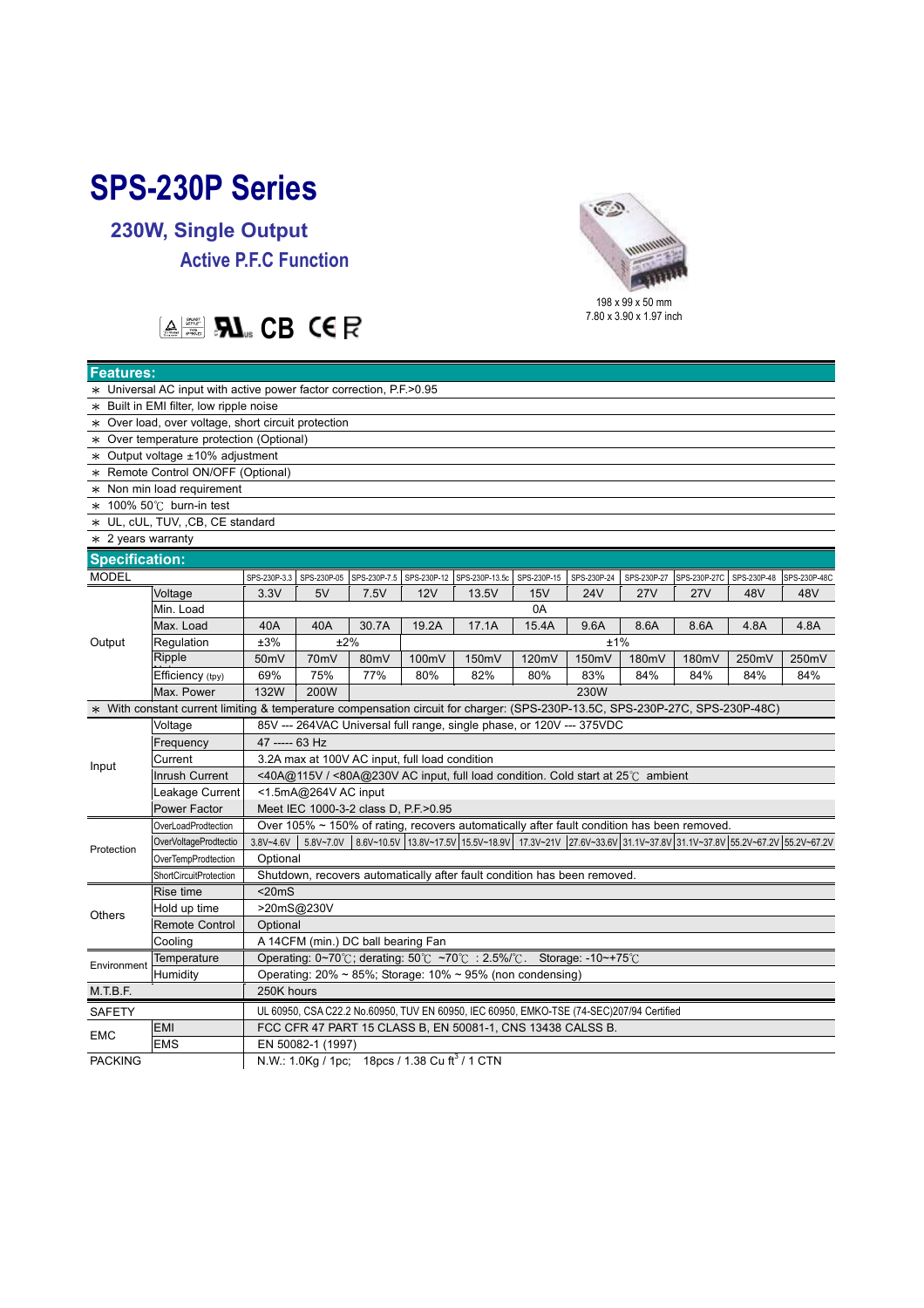## **SPS-230P Series**

**230W, Single Output Active P.F.C Function** 



## **EXPLEMENT CB CER**

| <b>Features:</b>                                                                                                              |                        |                                                                                                                                 |             |              |             |                |             |             |             |              |       |                          |
|-------------------------------------------------------------------------------------------------------------------------------|------------------------|---------------------------------------------------------------------------------------------------------------------------------|-------------|--------------|-------------|----------------|-------------|-------------|-------------|--------------|-------|--------------------------|
| * Universal AC input with active power factor correction, P.F. > 0.95                                                         |                        |                                                                                                                                 |             |              |             |                |             |             |             |              |       |                          |
| * Built in EMI filter, low ripple noise                                                                                       |                        |                                                                                                                                 |             |              |             |                |             |             |             |              |       |                          |
| * Over load, over voltage, short circuit protection                                                                           |                        |                                                                                                                                 |             |              |             |                |             |             |             |              |       |                          |
| * Over temperature protection (Optional)                                                                                      |                        |                                                                                                                                 |             |              |             |                |             |             |             |              |       |                          |
| $*$ Output voltage $±10\%$ adjustment                                                                                         |                        |                                                                                                                                 |             |              |             |                |             |             |             |              |       |                          |
| * Remote Control ON/OFF (Optional)                                                                                            |                        |                                                                                                                                 |             |              |             |                |             |             |             |              |       |                          |
| * Non min load requirement                                                                                                    |                        |                                                                                                                                 |             |              |             |                |             |             |             |              |       |                          |
| $*$ 100% 50°C burn-in test                                                                                                    |                        |                                                                                                                                 |             |              |             |                |             |             |             |              |       |                          |
| * UL, cUL, TUV, ,CB, CE standard                                                                                              |                        |                                                                                                                                 |             |              |             |                |             |             |             |              |       |                          |
| $*$ 2 years warranty                                                                                                          |                        |                                                                                                                                 |             |              |             |                |             |             |             |              |       |                          |
| <b>Specification:</b>                                                                                                         |                        |                                                                                                                                 |             |              |             |                |             |             |             |              |       |                          |
| <b>MODEL</b>                                                                                                                  |                        | SPS-230P-3.3                                                                                                                    | SPS-230P-05 | SPS-230P-7.5 | SPS-230P-12 | SPS-230P-13.5c | SPS-230P-15 | SPS-230P-24 | SPS-230P-27 | SPS-230P-27C |       | SPS-230P-48 SPS-230P-48C |
| Output                                                                                                                        | Voltage                | 3.3V                                                                                                                            | 5V          | 7.5V         | 12V         | 13.5V          | 15V         | <b>24V</b>  | <b>27V</b>  | 27V          | 48V   | 48V                      |
|                                                                                                                               | Min. Load              |                                                                                                                                 |             |              |             |                | 0A          |             |             |              |       |                          |
|                                                                                                                               | Max. Load              | 40A                                                                                                                             | 40A         | 30.7A        | 19.2A       | 17.1A          | 15.4A       | 9.6A        | 8.6A        | 8.6A         | 4.8A  | 4.8A                     |
|                                                                                                                               | Regulation             | ±3%                                                                                                                             |             | ±2%          |             |                |             | ±1%         |             |              |       |                          |
|                                                                                                                               | Ripple                 | 50 <sub>mV</sub>                                                                                                                | 70mV        | 80mV         | 100mV       | 150mV          | 120mV       | 150mV       | 180mV       | 180mV        | 250mV | 250mV                    |
|                                                                                                                               | Efficiency (tpy)       | 69%                                                                                                                             | 75%         | 77%          | 80%         | 82%            | 80%         | 83%         | 84%         | 84%          | 84%   | 84%                      |
|                                                                                                                               | Max. Power             | 132W<br>200W<br>230W                                                                                                            |             |              |             |                |             |             |             |              |       |                          |
| * With constant current limiting & temperature compensation circuit for charger: (SPS-230P-13.5C, SPS-230P-27C, SPS-230P-48C) |                        |                                                                                                                                 |             |              |             |                |             |             |             |              |       |                          |
| Input                                                                                                                         | Voltage                | 85V --- 264VAC Universal full range, single phase, or 120V --- 375VDC                                                           |             |              |             |                |             |             |             |              |       |                          |
|                                                                                                                               | Frequency              | 47 ----- 63 Hz                                                                                                                  |             |              |             |                |             |             |             |              |       |                          |
|                                                                                                                               | Current                | 3.2A max at 100V AC input, full load condition                                                                                  |             |              |             |                |             |             |             |              |       |                          |
|                                                                                                                               | Inrush Current         | <40A@115V / <80A@230V AC input, full load condition. Cold start at 25°C ambient                                                 |             |              |             |                |             |             |             |              |       |                          |
|                                                                                                                               | Leakage Current        | <1.5mA@264V AC input                                                                                                            |             |              |             |                |             |             |             |              |       |                          |
|                                                                                                                               | Power Factor           | Meet IEC 1000-3-2 class D, P.F.>0.95                                                                                            |             |              |             |                |             |             |             |              |       |                          |
| Protection                                                                                                                    | OverLoadProdtection    | Over 105% ~ 150% of rating, recovers automatically after fault condition has been removed.                                      |             |              |             |                |             |             |             |              |       |                          |
|                                                                                                                               | OverVoltageProdtectio  | 5.8V~7.0V 8.6V~10.5V 13.8V~17.5V 15.5V~18.9V 17.3V~21V 27.6V~33.6V 31.1V~37.8V 31.1V~37.8V 55.2V~67.2V 55.2V~67.2V<br>3.8V~4.6V |             |              |             |                |             |             |             |              |       |                          |
|                                                                                                                               | OverTempProdtection    | Optional                                                                                                                        |             |              |             |                |             |             |             |              |       |                          |
|                                                                                                                               | ShortCircuitProtection | Shutdown, recovers automatically after fault condition has been removed.                                                        |             |              |             |                |             |             |             |              |       |                          |
| Others                                                                                                                        | Rise time              | $<$ 20 $m$ S                                                                                                                    |             |              |             |                |             |             |             |              |       |                          |
|                                                                                                                               | Hold up time           | >20mS@230V                                                                                                                      |             |              |             |                |             |             |             |              |       |                          |
|                                                                                                                               | <b>Remote Control</b>  | Optional                                                                                                                        |             |              |             |                |             |             |             |              |       |                          |
|                                                                                                                               | Cooling                | A 14CFM (min.) DC ball bearing Fan                                                                                              |             |              |             |                |             |             |             |              |       |                          |
| Environment                                                                                                                   | Temperature            | Operating: 0~70℃; derating: 50℃ ~70℃ : 2.5%/℃. Storage: -10~+75℃                                                                |             |              |             |                |             |             |             |              |       |                          |
|                                                                                                                               | Humidity               | Operating: $20\% \sim 85\%$ ; Storage: 10% $\sim 95\%$ (non condensing)                                                         |             |              |             |                |             |             |             |              |       |                          |
| M.T.B.F.                                                                                                                      |                        | 250K hours                                                                                                                      |             |              |             |                |             |             |             |              |       |                          |
| <b>SAFETY</b>                                                                                                                 |                        | UL 60950, CSA C22.2 No.60950, TUV EN 60950, IEC 60950, EMKO-TSE (74-SEC)207/94 Certified                                        |             |              |             |                |             |             |             |              |       |                          |
| <b>EMC</b>                                                                                                                    | <b>EMI</b>             | FCC CFR 47 PART 15 CLASS B, EN 50081-1, CNS 13438 CALSS B.                                                                      |             |              |             |                |             |             |             |              |       |                          |
|                                                                                                                               | <b>EMS</b>             | EN 50082-1 (1997)                                                                                                               |             |              |             |                |             |             |             |              |       |                          |
| <b>PACKING</b>                                                                                                                |                        | N.W.: 1.0Kg / 1pc; 18pcs / 1.38 Cu ft <sup>3</sup> / 1 CTN                                                                      |             |              |             |                |             |             |             |              |       |                          |